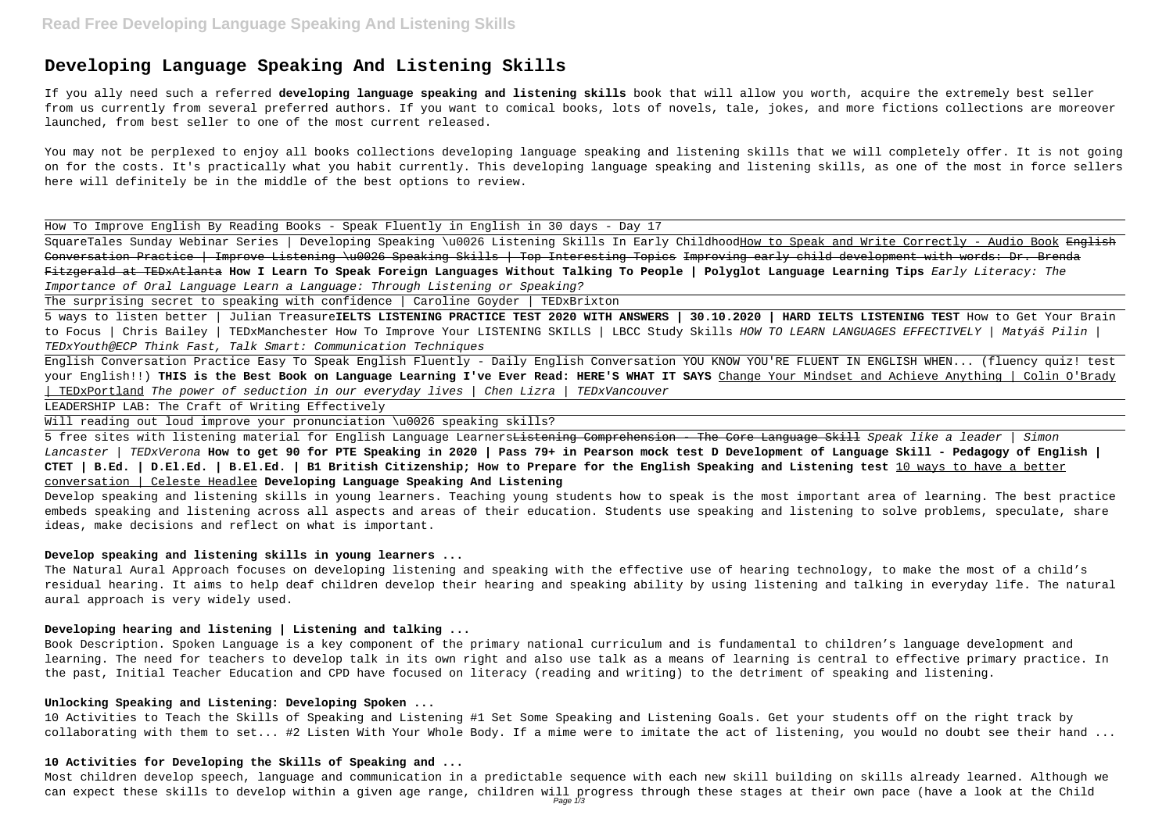# **Developing Language Speaking And Listening Skills**

If you ally need such a referred **developing language speaking and listening skills** book that will allow you worth, acquire the extremely best seller from us currently from several preferred authors. If you want to comical books, lots of novels, tale, jokes, and more fictions collections are moreover launched, from best seller to one of the most current released.

You may not be perplexed to enjoy all books collections developing language speaking and listening skills that we will completely offer. It is not going on for the costs. It's practically what you habit currently. This developing language speaking and listening skills, as one of the most in force sellers here will definitely be in the middle of the best options to review.

SquareTales Sunday Webinar Series | Developing Speaking \u0026 Listening Skills In Early ChildhoodHow to Speak and Write Correctly - Audio Book English Conversation Practice | Improve Listening \u0026 Speaking Skills | Top Interesting Topics Improving early child development with words: Dr. Brenda Fitzgerald at TEDxAtlanta **How I Learn To Speak Foreign Languages Without Talking To People | Polyglot Language Learning Tips** Early Literacy: The Importance of Oral Language Learn a Language: Through Listening or Speaking?

How To Improve English By Reading Books - Speak Fluently in English in 30 days - Day 17

5 free sites with listening material for English Language Learners<del>Listening Comprehension - The Core Language Skill</del> Speak like a leader | Simon Lancaster | TEDxVerona **How to get 90 for PTE Speaking in 2020 | Pass 79+ in Pearson mock test D Development of Language Skill - Pedagogy of English | CTET | B.Ed. | D.El.Ed. | B.El.Ed. | B1 British Citizenship; How to Prepare for the English Speaking and Listening test** 10 ways to have a better conversation | Celeste Headlee **Developing Language Speaking And Listening**

The surprising secret to speaking with confidence | Caroline Goyder | TEDxBrixton

5 ways to listen better | Julian Treasure**IELTS LISTENING PRACTICE TEST 2020 WITH ANSWERS | 30.10.2020 | HARD IELTS LISTENING TEST** How to Get Your Brain to Focus | Chris Bailey | TEDxManchester How To Improve Your LISTENING SKILLS | LBCC Study Skills HOW TO LEARN LANGUAGES EFFECTIVELY | Matyáš Pilin | TEDxYouth@ECP Think Fast, Talk Smart: Communication Techniques

English Conversation Practice Easy To Speak English Fluently - Daily English Conversation YOU KNOW YOU'RE FLUENT IN ENGLISH WHEN... (fluency quiz! test your English!!) **THIS is the Best Book on Language Learning I've Ever Read: HERE'S WHAT IT SAYS** Change Your Mindset and Achieve Anything | Colin O'Brady | TEDxPortland The power of seduction in our everyday lives | Chen Lizra | TEDxVancouver

LEADERSHIP LAB: The Craft of Writing Effectively

Will reading out loud improve your pronunciation \u0026 speaking skills?

Develop speaking and listening skills in young learners. Teaching young students how to speak is the most important area of learning. The best practice embeds speaking and listening across all aspects and areas of their education. Students use speaking and listening to solve problems, speculate, share ideas, make decisions and reflect on what is important.

### **Develop speaking and listening skills in young learners ...**

The Natural Aural Approach focuses on developing listening and speaking with the effective use of hearing technology, to make the most of a child's residual hearing. It aims to help deaf children develop their hearing and speaking ability by using listening and talking in everyday life. The natural aural approach is very widely used.

## **Developing hearing and listening | Listening and talking ...**

Book Description. Spoken Language is a key component of the primary national curriculum and is fundamental to children's language development and learning. The need for teachers to develop talk in its own right and also use talk as a means of learning is central to effective primary practice. In the past, Initial Teacher Education and CPD have focused on literacy (reading and writing) to the detriment of speaking and listening.

## **Unlocking Speaking and Listening: Developing Spoken ...**

10 Activities to Teach the Skills of Speaking and Listening #1 Set Some Speaking and Listening Goals. Get your students off on the right track by collaborating with them to set... #2 Listen With Your Whole Body. If a mime were to imitate the act of listening, you would no doubt see their hand ...

## **10 Activities for Developing the Skills of Speaking and ...**

Most children develop speech, language and communication in a predictable sequence with each new skill building on skills already learned. Although we can expect these skills to develop within a given age range, children will progress through these stages at their own pace (have a look at the Child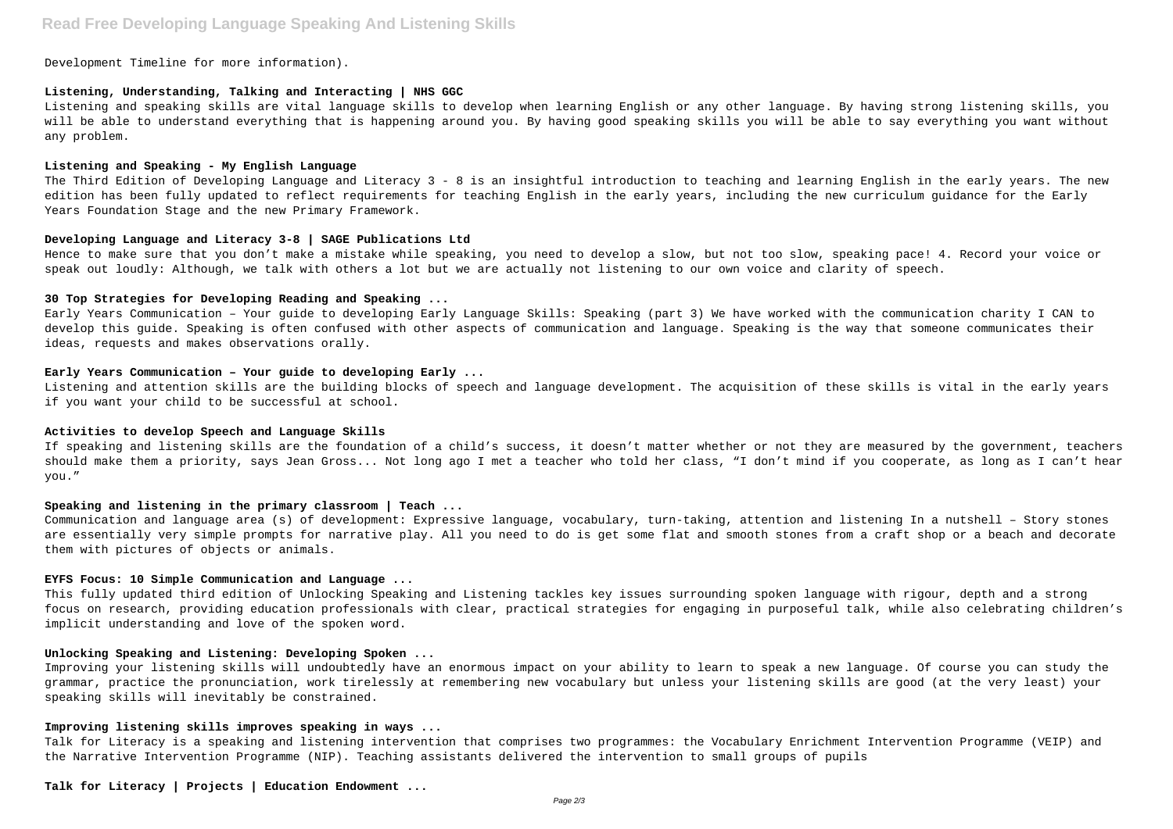# **Read Free Developing Language Speaking And Listening Skills**

Development Timeline for more information).

#### **Listening, Understanding, Talking and Interacting | NHS GGC**

Listening and speaking skills are vital language skills to develop when learning English or any other language. By having strong listening skills, you will be able to understand everything that is happening around you. By having good speaking skills you will be able to say everything you want without any problem.

#### **Listening and Speaking - My English Language**

The Third Edition of Developing Language and Literacy 3 - 8 is an insightful introduction to teaching and learning English in the early years. The new edition has been fully updated to reflect requirements for teaching English in the early years, including the new curriculum guidance for the Early Years Foundation Stage and the new Primary Framework.

#### **Developing Language and Literacy 3-8 | SAGE Publications Ltd**

Hence to make sure that you don't make a mistake while speaking, you need to develop a slow, but not too slow, speaking pace! 4. Record your voice or speak out loudly: Although, we talk with others a lot but we are actually not listening to our own voice and clarity of speech.

## **30 Top Strategies for Developing Reading and Speaking ...**

Early Years Communication – Your guide to developing Early Language Skills: Speaking (part 3) We have worked with the communication charity I CAN to develop this guide. Speaking is often confused with other aspects of communication and language. Speaking is the way that someone communicates their ideas, requests and makes observations orally.

#### **Early Years Communication – Your guide to developing Early ...**

Listening and attention skills are the building blocks of speech and language development. The acquisition of these skills is vital in the early years if you want your child to be successful at school.

#### **Activities to develop Speech and Language Skills**

If speaking and listening skills are the foundation of a child's success, it doesn't matter whether or not they are measured by the government, teachers should make them a priority, says Jean Gross... Not long ago I met a teacher who told her class, "I don't mind if you cooperate, as long as I can't hear you."

#### **Speaking and listening in the primary classroom | Teach ...**

Communication and language area (s) of development: Expressive language, vocabulary, turn-taking, attention and listening In a nutshell – Story stones are essentially very simple prompts for narrative play. All you need to do is get some flat and smooth stones from a craft shop or a beach and decorate them with pictures of objects or animals.

#### **EYFS Focus: 10 Simple Communication and Language ...**

This fully updated third edition of Unlocking Speaking and Listening tackles key issues surrounding spoken language with rigour, depth and a strong focus on research, providing education professionals with clear, practical strategies for engaging in purposeful talk, while also celebrating children's implicit understanding and love of the spoken word.

## **Unlocking Speaking and Listening: Developing Spoken ...**

Improving your listening skills will undoubtedly have an enormous impact on your ability to learn to speak a new language. Of course you can study the grammar, practice the pronunciation, work tirelessly at remembering new vocabulary but unless your listening skills are good (at the very least) your speaking skills will inevitably be constrained.

### **Improving listening skills improves speaking in ways ...**

Talk for Literacy is a speaking and listening intervention that comprises two programmes: the Vocabulary Enrichment Intervention Programme (VEIP) and the Narrative Intervention Programme (NIP). Teaching assistants delivered the intervention to small groups of pupils

**Talk for Literacy | Projects | Education Endowment ...**